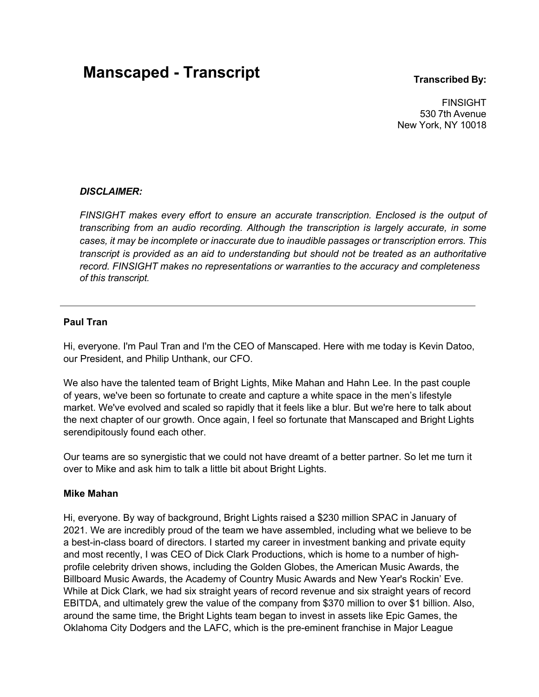# **Manscaped - Transcript Transcript Transcribed** By:

FINSIGHT 530 7th Avenue New York, NY 10018

# *DISCLAIMER:*

*FINSIGHT makes every effort to ensure an accurate transcription. Enclosed is the output of transcribing from an audio recording. Although the transcription is largely accurate, in some cases, it may be incomplete or inaccurate due to inaudible passages or transcription errors. This transcript is provided as an aid to understanding but should not be treated as an authoritative record. FINSIGHT makes no representations or warranties to the accuracy and completeness of this transcript.*

# **Paul Tran**

Hi, everyone. I'm Paul Tran and I'm the CEO of Manscaped. Here with me today is Kevin Datoo, our President, and Philip Unthank, our CFO.

We also have the talented team of Bright Lights, Mike Mahan and Hahn Lee. In the past couple of years, we've been so fortunate to create and capture a white space in the men's lifestyle market. We've evolved and scaled so rapidly that it feels like a blur. But we're here to talk about the next chapter of our growth. Once again, I feel so fortunate that Manscaped and Bright Lights serendipitously found each other.

Our teams are so synergistic that we could not have dreamt of a better partner. So let me turn it over to Mike and ask him to talk a little bit about Bright Lights.

# **Mike Mahan**

Hi, everyone. By way of background, Bright Lights raised a \$230 million SPAC in January of 2021. We are incredibly proud of the team we have assembled, including what we believe to be a best-in-class board of directors. I started my career in investment banking and private equity and most recently, I was CEO of Dick Clark Productions, which is home to a number of highprofile celebrity driven shows, including the Golden Globes, the American Music Awards, the Billboard Music Awards, the Academy of Country Music Awards and New Year's Rockin' Eve. While at Dick Clark, we had six straight years of record revenue and six straight years of record EBITDA, and ultimately grew the value of the company from \$370 million to over \$1 billion. Also, around the same time, the Bright Lights team began to invest in assets like Epic Games, the Oklahoma City Dodgers and the LAFC, which is the pre-eminent franchise in Major League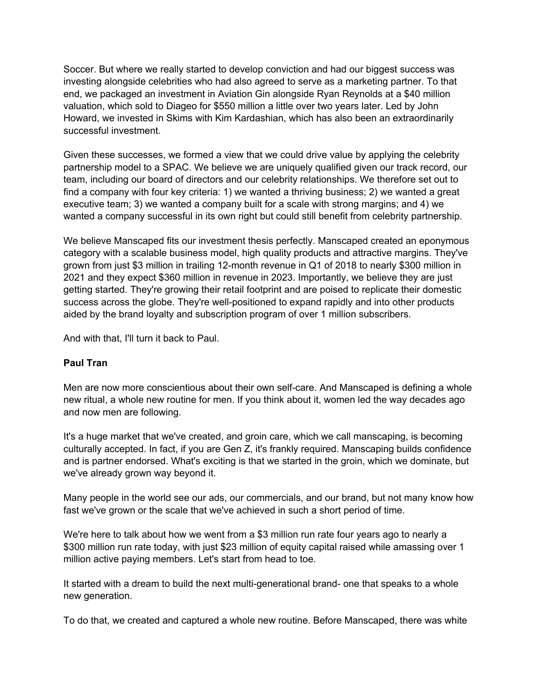Soccer. But where we really started to develop conviction and had our biggest success was investing alongside celebrities who had also agreed to serve as a marketing partner. To that end, we packaged an investment in Aviation Gin alongside Ryan Reynolds at a \$40 million valuation, which sold to Diageo for \$550 million a little over two years later. Led by John Howard, we invested in Skims with Kim Kardashian, which has also been an extraordinarily successful investment.

Given these successes, we formed a view that we could drive value by applying the celebrity partnership model to a SPAC. We believe we are uniquely qualified given our track record, our team, including our board of directors and our celebrity relationships. We therefore set out to find a company with four key criteria: 1) we wanted a thriving business; 2) we wanted a great executive team; 3) we wanted a company built for a scale with strong margins; and 4) we wanted a company successful in its own right but could still benefit from celebrity partnership.

We believe Manscaped fits our investment thesis perfectly. Manscaped created an eponymous category with a scalable business model, high quality products and attractive margins. They've grown from just \$3 million in trailing 12-month revenue in Q1 of 2018 to nearly \$300 million in 2021 and they expect \$360 million in revenue in 2023. Importantly, we believe they are just getting started. They're growing their retail footprint and are poised to replicate their domestic success across the globe. They're well-positioned to expand rapidly and into other products aided by the brand loyalty and subscription program of over 1 million subscribers.

And with that, I'll turn it back to Paul.

# **Paul Tran**

Men are now more conscientious about their own self-care. And Manscaped is defining a whole new ritual, a whole new routine for men. If you think about it, women led the way decades ago and now men are following.

It's a huge market that we've created, and groin care, which we call manscaping, is becoming culturally accepted. In fact, if you are Gen Z, it's frankly required. Manscaping builds confidence and is partner endorsed. What's exciting is that we started in the groin, which we dominate, but we've already grown way beyond it.

Many people in the world see our ads, our commercials, and our brand, but not many know how fast we've grown or the scale that we've achieved in such a short period of time.

We're here to talk about how we went from a \$3 million run rate four years ago to nearly a \$300 million run rate today, with just \$23 million of equity capital raised while amassing over 1 million active paying members. Let's start from head to toe.

It started with a dream to build the next multi-generational brand- one that speaks to a whole new generation.

To do that, we created and captured a whole new routine. Before Manscaped, there was white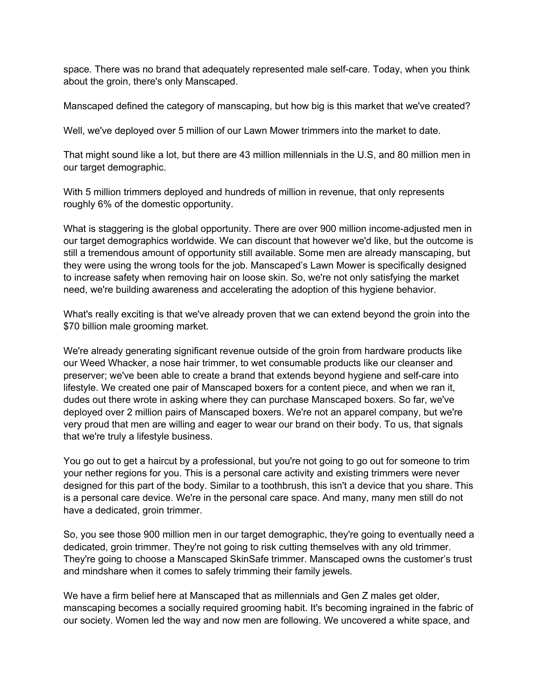space. There was no brand that adequately represented male self-care. Today, when you think about the groin, there's only Manscaped.

Manscaped defined the category of manscaping, but how big is this market that we've created?

Well, we've deployed over 5 million of our Lawn Mower trimmers into the market to date.

That might sound like a lot, but there are 43 million millennials in the U.S, and 80 million men in our target demographic.

With 5 million trimmers deployed and hundreds of million in revenue, that only represents roughly 6% of the domestic opportunity.

What is staggering is the global opportunity. There are over 900 million income-adjusted men in our target demographics worldwide. We can discount that however we'd like, but the outcome is still a tremendous amount of opportunity still available. Some men are already manscaping, but they were using the wrong tools for the job. Manscaped's Lawn Mower is specifically designed to increase safety when removing hair on loose skin. So, we're not only satisfying the market need, we're building awareness and accelerating the adoption of this hygiene behavior.

What's really exciting is that we've already proven that we can extend beyond the groin into the \$70 billion male grooming market.

We're already generating significant revenue outside of the groin from hardware products like our Weed Whacker, a nose hair trimmer, to wet consumable products like our cleanser and preserver; we've been able to create a brand that extends beyond hygiene and self-care into lifestyle. We created one pair of Manscaped boxers for a content piece, and when we ran it, dudes out there wrote in asking where they can purchase Manscaped boxers. So far, we've deployed over 2 million pairs of Manscaped boxers. We're not an apparel company, but we're very proud that men are willing and eager to wear our brand on their body. To us, that signals that we're truly a lifestyle business.

You go out to get a haircut by a professional, but you're not going to go out for someone to trim your nether regions for you. This is a personal care activity and existing trimmers were never designed for this part of the body. Similar to a toothbrush, this isn't a device that you share. This is a personal care device. We're in the personal care space. And many, many men still do not have a dedicated, groin trimmer.

So, you see those 900 million men in our target demographic, they're going to eventually need a dedicated, groin trimmer. They're not going to risk cutting themselves with any old trimmer. They're going to choose a Manscaped SkinSafe trimmer. Manscaped owns the customer's trust and mindshare when it comes to safely trimming their family jewels.

We have a firm belief here at Manscaped that as millennials and Gen Z males get older, manscaping becomes a socially required grooming habit. It's becoming ingrained in the fabric of our society. Women led the way and now men are following. We uncovered a white space, and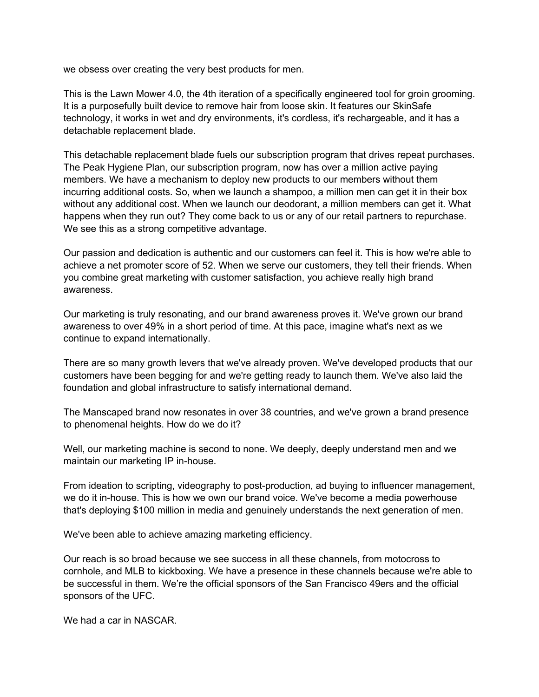we obsess over creating the very best products for men.

This is the Lawn Mower 4.0, the 4th iteration of a specifically engineered tool for groin grooming. It is a purposefully built device to remove hair from loose skin. It features our SkinSafe technology, it works in wet and dry environments, it's cordless, it's rechargeable, and it has a detachable replacement blade.

This detachable replacement blade fuels our subscription program that drives repeat purchases. The Peak Hygiene Plan, our subscription program, now has over a million active paying members. We have a mechanism to deploy new products to our members without them incurring additional costs. So, when we launch a shampoo, a million men can get it in their box without any additional cost. When we launch our deodorant, a million members can get it. What happens when they run out? They come back to us or any of our retail partners to repurchase. We see this as a strong competitive advantage.

Our passion and dedication is authentic and our customers can feel it. This is how we're able to achieve a net promoter score of 52. When we serve our customers, they tell their friends. When you combine great marketing with customer satisfaction, you achieve really high brand awareness.

Our marketing is truly resonating, and our brand awareness proves it. We've grown our brand awareness to over 49% in a short period of time. At this pace, imagine what's next as we continue to expand internationally.

There are so many growth levers that we've already proven. We've developed products that our customers have been begging for and we're getting ready to launch them. We've also laid the foundation and global infrastructure to satisfy international demand.

The Manscaped brand now resonates in over 38 countries, and we've grown a brand presence to phenomenal heights. How do we do it?

Well, our marketing machine is second to none. We deeply, deeply understand men and we maintain our marketing IP in-house.

From ideation to scripting, videography to post-production, ad buying to influencer management, we do it in-house. This is how we own our brand voice. We've become a media powerhouse that's deploying \$100 million in media and genuinely understands the next generation of men.

We've been able to achieve amazing marketing efficiency.

Our reach is so broad because we see success in all these channels, from motocross to cornhole, and MLB to kickboxing. We have a presence in these channels because we're able to be successful in them. We're the official sponsors of the San Francisco 49ers and the official sponsors of the UFC.

We had a car in NASCAR.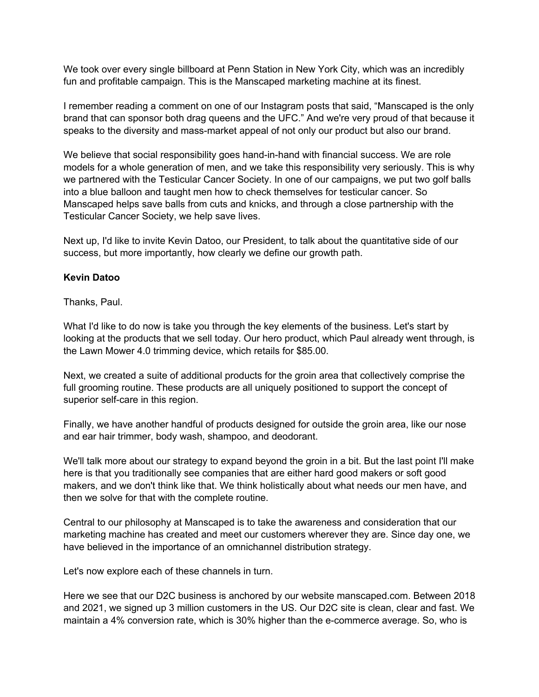We took over every single billboard at Penn Station in New York City, which was an incredibly fun and profitable campaign. This is the Manscaped marketing machine at its finest.

I remember reading a comment on one of our Instagram posts that said, "Manscaped is the only brand that can sponsor both drag queens and the UFC." And we're very proud of that because it speaks to the diversity and mass-market appeal of not only our product but also our brand.

We believe that social responsibility goes hand-in-hand with financial success. We are role models for a whole generation of men, and we take this responsibility very seriously. This is why we partnered with the Testicular Cancer Society. In one of our campaigns, we put two golf balls into a blue balloon and taught men how to check themselves for testicular cancer. So Manscaped helps save balls from cuts and knicks, and through a close partnership with the Testicular Cancer Society, we help save lives.

Next up, I'd like to invite Kevin Datoo, our President, to talk about the quantitative side of our success, but more importantly, how clearly we define our growth path.

# **Kevin Datoo**

Thanks, Paul.

What I'd like to do now is take you through the key elements of the business. Let's start by looking at the products that we sell today. Our hero product, which Paul already went through, is the Lawn Mower 4.0 trimming device, which retails for \$85.00.

Next, we created a suite of additional products for the groin area that collectively comprise the full grooming routine. These products are all uniquely positioned to support the concept of superior self-care in this region.

Finally, we have another handful of products designed for outside the groin area, like our nose and ear hair trimmer, body wash, shampoo, and deodorant.

We'll talk more about our strategy to expand beyond the groin in a bit. But the last point I'll make here is that you traditionally see companies that are either hard good makers or soft good makers, and we don't think like that. We think holistically about what needs our men have, and then we solve for that with the complete routine.

Central to our philosophy at Manscaped is to take the awareness and consideration that our marketing machine has created and meet our customers wherever they are. Since day one, we have believed in the importance of an omnichannel distribution strategy.

Let's now explore each of these channels in turn.

Here we see that our D2C business is anchored by our website manscaped.com. Between 2018 and 2021, we signed up 3 million customers in the US. Our D2C site is clean, clear and fast. We maintain a 4% conversion rate, which is 30% higher than the e-commerce average. So, who is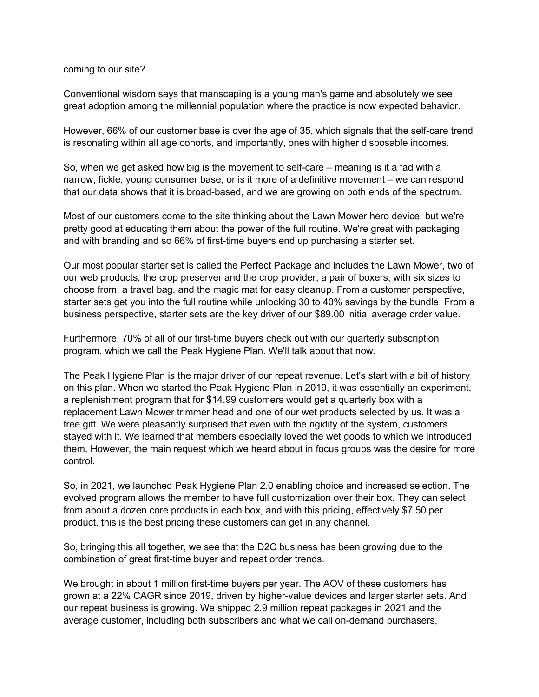### coming to our site?

Conventional wisdom says that manscaping is a young man's game and absolutely we see great adoption among the millennial population where the practice is now expected behavior.

However, 66% of our customer base is over the age of 35, which signals that the self-care trend is resonating within all age cohorts, and importantly, ones with higher disposable incomes.

So, when we get asked how big is the movement to self-care – meaning is it a fad with a narrow, fickle, young consumer base, or is it more of a definitive movement – we can respond that our data shows that it is broad-based, and we are growing on both ends of the spectrum.

Most of our customers come to the site thinking about the Lawn Mower hero device, but we're pretty good at educating them about the power of the full routine. We're great with packaging and with branding and so 66% of first-time buyers end up purchasing a starter set.

Our most popular starter set is called the Perfect Package and includes the Lawn Mower, two of our web products, the crop preserver and the crop provider, a pair of boxers, with six sizes to choose from, a travel bag, and the magic mat for easy cleanup. From a customer perspective, starter sets get you into the full routine while unlocking 30 to 40% savings by the bundle. From a business perspective, starter sets are the key driver of our \$89.00 initial average order value.

Furthermore, 70% of all of our first-time buyers check out with our quarterly subscription program, which we call the Peak Hygiene Plan. We'll talk about that now.

The Peak Hygiene Plan is the major driver of our repeat revenue. Let's start with a bit of history on this plan. When we started the Peak Hygiene Plan in 2019, it was essentially an experiment, a replenishment program that for \$14.99 customers would get a quarterly box with a replacement Lawn Mower trimmer head and one of our wet products selected by us. It was a free gift. We were pleasantly surprised that even with the rigidity of the system, customers stayed with it. We learned that members especially loved the wet goods to which we introduced them. However, the main request which we heard about in focus groups was the desire for more control.

So, in 2021, we launched Peak Hygiene Plan 2.0 enabling choice and increased selection. The evolved program allows the member to have full customization over their box. They can select from about a dozen core products in each box, and with this pricing, effectively \$7.50 per product, this is the best pricing these customers can get in any channel.

So, bringing this all together, we see that the D2C business has been growing due to the combination of great first-time buyer and repeat order trends.

We brought in about 1 million first-time buyers per year. The AOV of these customers has grown at a 22% CAGR since 2019, driven by higher-value devices and larger starter sets. And our repeat business is growing. We shipped 2.9 million repeat packages in 2021 and the average customer, including both subscribers and what we call on-demand purchasers,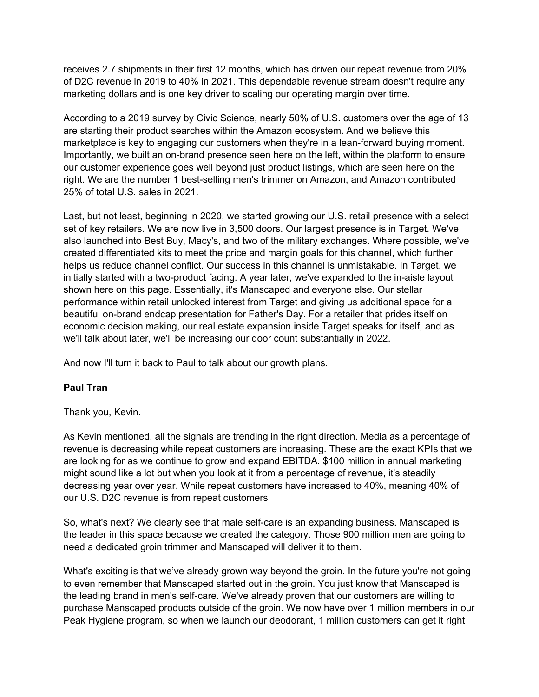receives 2.7 shipments in their first 12 months, which has driven our repeat revenue from 20% of D2C revenue in 2019 to 40% in 2021. This dependable revenue stream doesn't require any marketing dollars and is one key driver to scaling our operating margin over time.

According to a 2019 survey by Civic Science, nearly 50% of U.S. customers over the age of 13 are starting their product searches within the Amazon ecosystem. And we believe this marketplace is key to engaging our customers when they're in a lean-forward buying moment. Importantly, we built an on-brand presence seen here on the left, within the platform to ensure our customer experience goes well beyond just product listings, which are seen here on the right. We are the number 1 best-selling men's trimmer on Amazon, and Amazon contributed 25% of total U.S. sales in 2021.

Last, but not least, beginning in 2020, we started growing our U.S. retail presence with a select set of key retailers. We are now live in 3,500 doors. Our largest presence is in Target. We've also launched into Best Buy, Macy's, and two of the military exchanges. Where possible, we've created differentiated kits to meet the price and margin goals for this channel, which further helps us reduce channel conflict. Our success in this channel is unmistakable. In Target, we initially started with a two-product facing. A year later, we've expanded to the in-aisle layout shown here on this page. Essentially, it's Manscaped and everyone else. Our stellar performance within retail unlocked interest from Target and giving us additional space for a beautiful on-brand endcap presentation for Father's Day. For a retailer that prides itself on economic decision making, our real estate expansion inside Target speaks for itself, and as we'll talk about later, we'll be increasing our door count substantially in 2022.

And now I'll turn it back to Paul to talk about our growth plans.

# **Paul Tran**

Thank you, Kevin.

As Kevin mentioned, all the signals are trending in the right direction. Media as a percentage of revenue is decreasing while repeat customers are increasing. These are the exact KPIs that we are looking for as we continue to grow and expand EBITDA. \$100 million in annual marketing might sound like a lot but when you look at it from a percentage of revenue, it's steadily decreasing year over year. While repeat customers have increased to 40%, meaning 40% of our U.S. D2C revenue is from repeat customers

So, what's next? We clearly see that male self-care is an expanding business. Manscaped is the leader in this space because we created the category. Those 900 million men are going to need a dedicated groin trimmer and Manscaped will deliver it to them.

What's exciting is that we've already grown way beyond the groin. In the future you're not going to even remember that Manscaped started out in the groin. You just know that Manscaped is the leading brand in men's self-care. We've already proven that our customers are willing to purchase Manscaped products outside of the groin. We now have over 1 million members in our Peak Hygiene program, so when we launch our deodorant, 1 million customers can get it right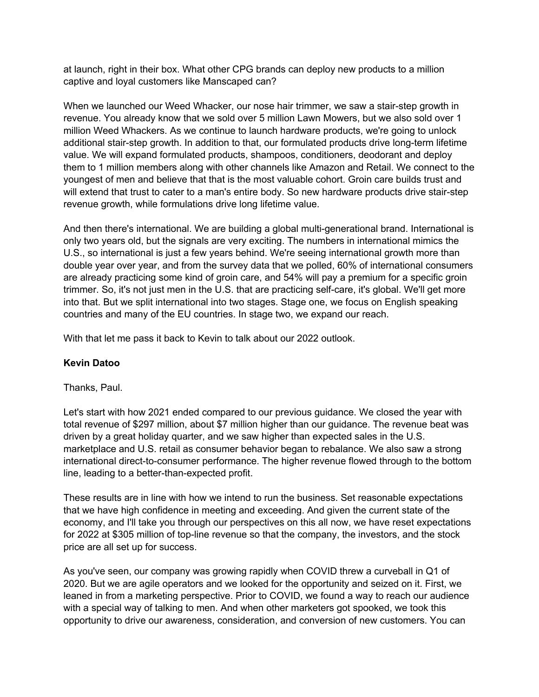at launch, right in their box. What other CPG brands can deploy new products to a million captive and loyal customers like Manscaped can?

When we launched our Weed Whacker, our nose hair trimmer, we saw a stair-step growth in revenue. You already know that we sold over 5 million Lawn Mowers, but we also sold over 1 million Weed Whackers. As we continue to launch hardware products, we're going to unlock additional stair-step growth. In addition to that, our formulated products drive long-term lifetime value. We will expand formulated products, shampoos, conditioners, deodorant and deploy them to 1 million members along with other channels like Amazon and Retail. We connect to the youngest of men and believe that that is the most valuable cohort. Groin care builds trust and will extend that trust to cater to a man's entire body. So new hardware products drive stair-step revenue growth, while formulations drive long lifetime value.

And then there's international. We are building a global multi-generational brand. International is only two years old, but the signals are very exciting. The numbers in international mimics the U.S., so international is just a few years behind. We're seeing international growth more than double year over year, and from the survey data that we polled, 60% of international consumers are already practicing some kind of groin care, and 54% will pay a premium for a specific groin trimmer. So, it's not just men in the U.S. that are practicing self-care, it's global. We'll get more into that. But we split international into two stages. Stage one, we focus on English speaking countries and many of the EU countries. In stage two, we expand our reach.

With that let me pass it back to Kevin to talk about our 2022 outlook.

# **Kevin Datoo**

# Thanks, Paul.

Let's start with how 2021 ended compared to our previous guidance. We closed the year with total revenue of \$297 million, about \$7 million higher than our guidance. The revenue beat was driven by a great holiday quarter, and we saw higher than expected sales in the U.S. marketplace and U.S. retail as consumer behavior began to rebalance. We also saw a strong international direct-to-consumer performance. The higher revenue flowed through to the bottom line, leading to a better-than-expected profit.

These results are in line with how we intend to run the business. Set reasonable expectations that we have high confidence in meeting and exceeding. And given the current state of the economy, and I'll take you through our perspectives on this all now, we have reset expectations for 2022 at \$305 million of top-line revenue so that the company, the investors, and the stock price are all set up for success.

As you've seen, our company was growing rapidly when COVID threw a curveball in Q1 of 2020. But we are agile operators and we looked for the opportunity and seized on it. First, we leaned in from a marketing perspective. Prior to COVID, we found a way to reach our audience with a special way of talking to men. And when other marketers got spooked, we took this opportunity to drive our awareness, consideration, and conversion of new customers. You can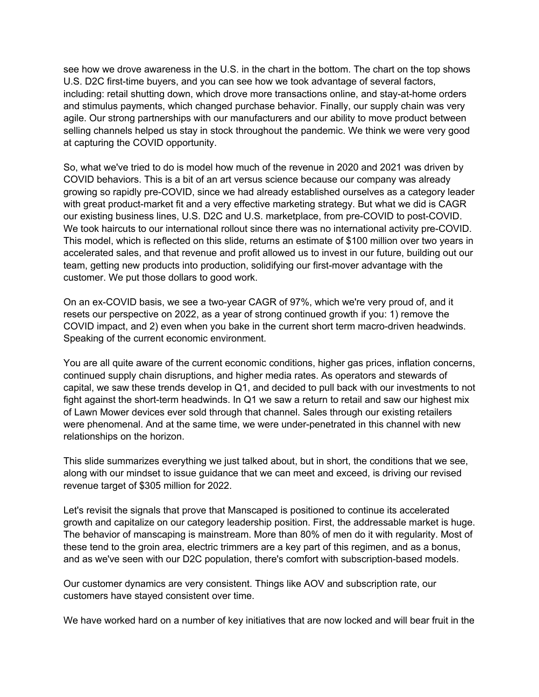see how we drove awareness in the U.S. in the chart in the bottom. The chart on the top shows U.S. D2C first-time buyers, and you can see how we took advantage of several factors, including: retail shutting down, which drove more transactions online, and stay-at-home orders and stimulus payments, which changed purchase behavior. Finally, our supply chain was very agile. Our strong partnerships with our manufacturers and our ability to move product between selling channels helped us stay in stock throughout the pandemic. We think we were very good at capturing the COVID opportunity.

So, what we've tried to do is model how much of the revenue in 2020 and 2021 was driven by COVID behaviors. This is a bit of an art versus science because our company was already growing so rapidly pre-COVID, since we had already established ourselves as a category leader with great product-market fit and a very effective marketing strategy. But what we did is CAGR our existing business lines, U.S. D2C and U.S. marketplace, from pre-COVID to post-COVID. We took haircuts to our international rollout since there was no international activity pre-COVID. This model, which is reflected on this slide, returns an estimate of \$100 million over two years in accelerated sales, and that revenue and profit allowed us to invest in our future, building out our team, getting new products into production, solidifying our first-mover advantage with the customer. We put those dollars to good work.

On an ex-COVID basis, we see a two-year CAGR of 97%, which we're very proud of, and it resets our perspective on 2022, as a year of strong continued growth if you: 1) remove the COVID impact, and 2) even when you bake in the current short term macro-driven headwinds. Speaking of the current economic environment.

You are all quite aware of the current economic conditions, higher gas prices, inflation concerns, continued supply chain disruptions, and higher media rates. As operators and stewards of capital, we saw these trends develop in Q1, and decided to pull back with our investments to not fight against the short-term headwinds. In Q1 we saw a return to retail and saw our highest mix of Lawn Mower devices ever sold through that channel. Sales through our existing retailers were phenomenal. And at the same time, we were under-penetrated in this channel with new relationships on the horizon.

This slide summarizes everything we just talked about, but in short, the conditions that we see, along with our mindset to issue guidance that we can meet and exceed, is driving our revised revenue target of \$305 million for 2022.

Let's revisit the signals that prove that Manscaped is positioned to continue its accelerated growth and capitalize on our category leadership position. First, the addressable market is huge. The behavior of manscaping is mainstream. More than 80% of men do it with regularity. Most of these tend to the groin area, electric trimmers are a key part of this regimen, and as a bonus, and as we've seen with our D2C population, there's comfort with subscription-based models.

Our customer dynamics are very consistent. Things like AOV and subscription rate, our customers have stayed consistent over time.

We have worked hard on a number of key initiatives that are now locked and will bear fruit in the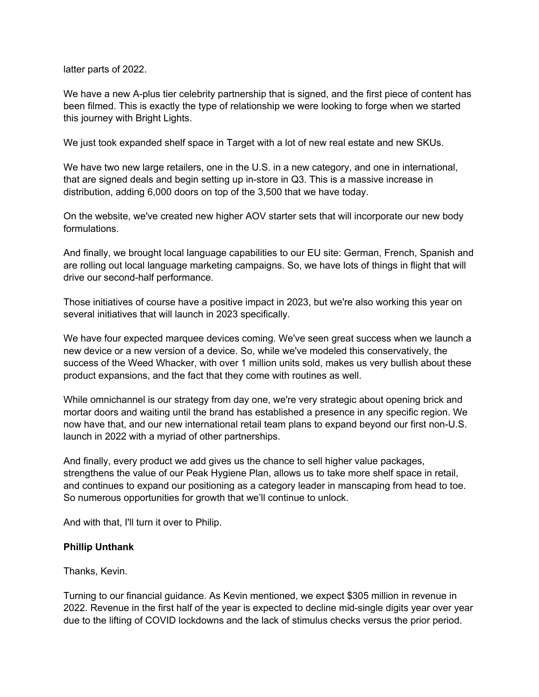latter parts of 2022.

We have a new A-plus tier celebrity partnership that is signed, and the first piece of content has been filmed. This is exactly the type of relationship we were looking to forge when we started this journey with Bright Lights.

We just took expanded shelf space in Target with a lot of new real estate and new SKUs.

We have two new large retailers, one in the U.S. in a new category, and one in international, that are signed deals and begin setting up in-store in Q3. This is a massive increase in distribution, adding 6,000 doors on top of the 3,500 that we have today.

On the website, we've created new higher AOV starter sets that will incorporate our new body formulations.

And finally, we brought local language capabilities to our EU site: German, French, Spanish and are rolling out local language marketing campaigns. So, we have lots of things in flight that will drive our second-half performance.

Those initiatives of course have a positive impact in 2023, but we're also working this year on several initiatives that will launch in 2023 specifically.

We have four expected marquee devices coming. We've seen great success when we launch a new device or a new version of a device. So, while we've modeled this conservatively, the success of the Weed Whacker, with over 1 million units sold, makes us very bullish about these product expansions, and the fact that they come with routines as well.

While omnichannel is our strategy from day one, we're very strategic about opening brick and mortar doors and waiting until the brand has established a presence in any specific region. We now have that, and our new international retail team plans to expand beyond our first non-U.S. launch in 2022 with a myriad of other partnerships.

And finally, every product we add gives us the chance to sell higher value packages, strengthens the value of our Peak Hygiene Plan, allows us to take more shelf space in retail, and continues to expand our positioning as a category leader in manscaping from head to toe. So numerous opportunities for growth that we'll continue to unlock.

And with that, I'll turn it over to Philip.

# **Phillip Unthank**

Thanks, Kevin.

Turning to our financial guidance. As Kevin mentioned, we expect \$305 million in revenue in 2022. Revenue in the first half of the year is expected to decline mid-single digits year over year due to the lifting of COVID lockdowns and the lack of stimulus checks versus the prior period.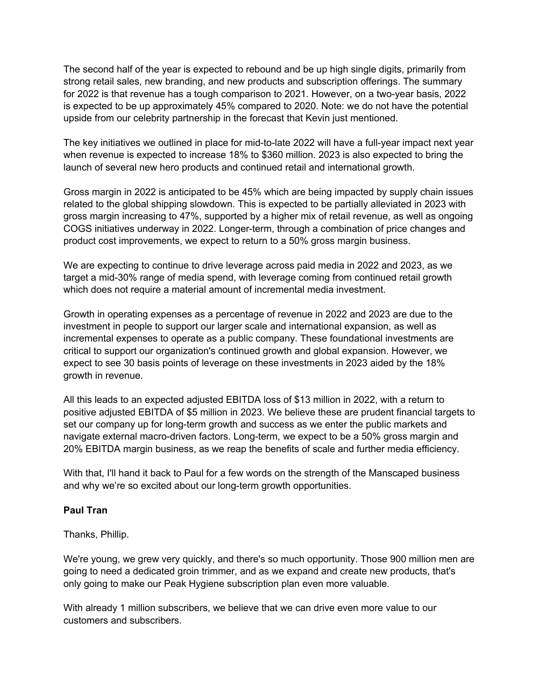The second half of the year is expected to rebound and be up high single digits, primarily from strong retail sales, new branding, and new products and subscription offerings. The summary for 2022 is that revenue has a tough comparison to 2021. However, on a two-year basis, 2022 is expected to be up approximately 45% compared to 2020. Note: we do not have the potential upside from our celebrity partnership in the forecast that Kevin just mentioned.

The key initiatives we outlined in place for mid-to-late 2022 will have a full-year impact next year when revenue is expected to increase 18% to \$360 million. 2023 is also expected to bring the launch of several new hero products and continued retail and international growth.

Gross margin in 2022 is anticipated to be 45% which are being impacted by supply chain issues related to the global shipping slowdown. This is expected to be partially alleviated in 2023 with gross margin increasing to 47%, supported by a higher mix of retail revenue, as well as ongoing COGS initiatives underway in 2022. Longer-term, through a combination of price changes and product cost improvements, we expect to return to a 50% gross margin business.

We are expecting to continue to drive leverage across paid media in 2022 and 2023, as we target a mid-30% range of media spend, with leverage coming from continued retail growth which does not require a material amount of incremental media investment.

Growth in operating expenses as a percentage of revenue in 2022 and 2023 are due to the investment in people to support our larger scale and international expansion, as well as incremental expenses to operate as a public company. These foundational investments are critical to support our organization's continued growth and global expansion. However, we expect to see 30 basis points of leverage on these investments in 2023 aided by the 18% growth in revenue.

All this leads to an expected adjusted EBITDA loss of \$13 million in 2022, with a return to positive adjusted EBITDA of \$5 million in 2023. We believe these are prudent financial targets to set our company up for long-term growth and success as we enter the public markets and navigate external macro-driven factors. Long-term, we expect to be a 50% gross margin and 20% EBITDA margin business, as we reap the benefits of scale and further media efficiency.

With that, I'll hand it back to Paul for a few words on the strength of the Manscaped business and why we're so excited about our long-term growth opportunities.

# **Paul Tran**

Thanks, Phillip.

We're young, we grew very quickly, and there's so much opportunity. Those 900 million men are going to need a dedicated groin trimmer, and as we expand and create new products, that's only going to make our Peak Hygiene subscription plan even more valuable.

With already 1 million subscribers, we believe that we can drive even more value to our customers and subscribers.